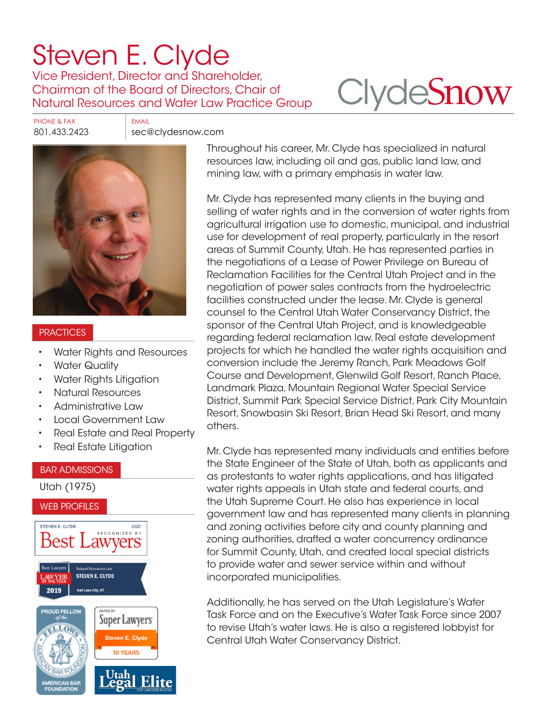# [Steven E. Clyde](https://www.clydesnow.com/attorneys/10-Steven-E-Clyde)

Vice President, Director and Shareholder, Chairman of the Board of Directors, Chair of Natural Resources and Water Law Practice Group

# **Clyde[Snow](http://www.clydesnow.com)**

PHONE & FAX FAX

801.433.2423 sec@clydesnow.com



#### **PRACTICES**

- Water Rights and Resources
- **Water Quality**
- Water Rights Litigation
- Natural Resources
- Administrative Law
- Local Government Law
- Real Estate and Real Property
- Real Estate Litigation

#### BAR ADMISSIONS Utah (1975) WEB PROFILES STEVEN E. CLYDE 2020 RECOGNIZED BY Best l awyers Best Lawvers **STEVEN E. CLYDE** 2019 Salt Lake City, UT **ATED BY ROUD FELLOW Super Lawyers LLOR** Steven E. Clyde **10 YEARS**

Throughout his career, Mr. Clyde has specialized in natural resources law, including oil and gas, public land law, and mining law, with a primary emphasis in water law.

Mr. Clyde has represented many clients in the buying and selling of water rights and in the conversion of water rights from agricultural irrigation use to domestic, municipal, and industrial use for development of real property, particularly in the resort [a](https://www.clydesnow.com/attorneys/10-Steven-E-Clyde)reas of Summit County, Utah. He has represented parties in the negotiations of a Lease of Power Privilege on Bureau of Reclamation Facilities for the Central Utah Project and in the negotiation of power sales contracts from the hydroelectric facilities constructed under the lease. Mr. Clyde is general counsel to the Central Utah Water Conservancy District, the sponsor of the Central Utah Project, and is knowledgeable regarding federal reclamation law. Real estate development projects for which he handled the water rights acquisition and conversion include the Jeremy Ranch, Park Meadows Golf Course and Development, Glenwild Golf Resort, Ranch Place, Landmark Plaza, Mountain Regional Water Special Service District, Summit Park Special Service District, Park City Mountain Resort, Snowbasin Ski Resort, Brian Head Ski Resort, and many others.

Mr. Clyde has represented many individuals and entities before the State Engineer of the State of Utah, both as applicants and as protestants to water rights applications, and has litigated water rights appeals in Utah state and federal courts, and the Utah Supreme Court. He also has experience in local government law and has represented many clients in planning and zoning activities before city and county planning and zoning authorities, drafted a water concurrency ordinance for Summit County, Utah, and created local special districts to provide water and sewer service within and without incorporated municipalities.

Additionally, he has served on the Utah Legislature's Water Task Force and on the Executive's Water Task Force since 2007 to revise Utah's water laws. He is also a registered lobbyist for Central Utah Water Conservancy District.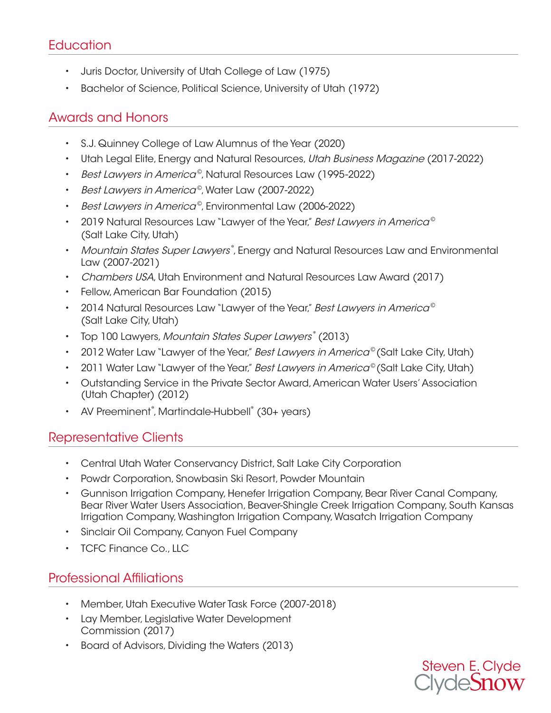# **Education**

- Juris Doctor, University of Utah College of Law (1975)
- Bachelor of Science, Political Science, University of Utah (1972)

# Awards and Honors

- S.J. Quinney College of Law Alumnus of the Year (2020)
- Utah Legal Elite, Energy and Natural Resources, Utah Business Magazine (2017-2022)
- Best Lawyers in America<sup>®</sup>, Natural Resources Law (1995-2022)
- Best Lawyers in America<sup>®</sup>, Water Law (2007-2022)
- Best Lawyers in America®, Environmental Law (2006-2022)
- 2019 Natural Resources Law "Lawyer of the Year," Best Lawyers in America<sup>®</sup> (Salt Lake City, Utah)
- Mountain States Super Lawyers®, Energy and Natural Resources Law and Environmental Law (2007-2021)
- Chambers USA, Utah Environment and Natural Resources Law Award (2017)
- Fellow, American Bar Foundation (2015)
- 2014 Natural Resources Law "Lawyer of the Year," Best Lawyers in America<sup>®</sup> (Salt Lake City, Utah)
- Top 100 Lawyers, Mountain States Super Lawyers® (2013)
- 2012 Water Law "Lawyer of the Year," Best Lawyers in America<sup>©</sup> (Salt Lake City, Utah)
- 2011 Water Law "Lawyer of the Year," Best Lawyers in America® (Salt Lake City, Utah)
- Outstanding Service in the Private Sector Award, American Water Users' Association (Utah Chapter) (2012)
- AV Preeminent®, Martindale-Hubbell® (30+ years)

## Representative Clients

- Central Utah Water Conservancy District, Salt Lake City Corporation
- Powdr Corporation, Snowbasin Ski Resort, Powder Mountain
- Gunnison Irrigation Company, Henefer Irrigation Company, Bear River Canal Company, Bear River Water Users Association, Beaver-Shingle Creek Irrigation Company, South Kansas Irrigation Company, Washington Irrigation Company, Wasatch Irrigation Company
- Sinclair Oil Company, Canyon Fuel Company
- TCFC Finance Co., LLC

# Professional Affiliations

- Member, Utah Executive Water Task Force (2007-2018)
- Lay Member, Legislative Water Development Commission (2017)
- Board of Advisors, Dividing the Waters (2013)